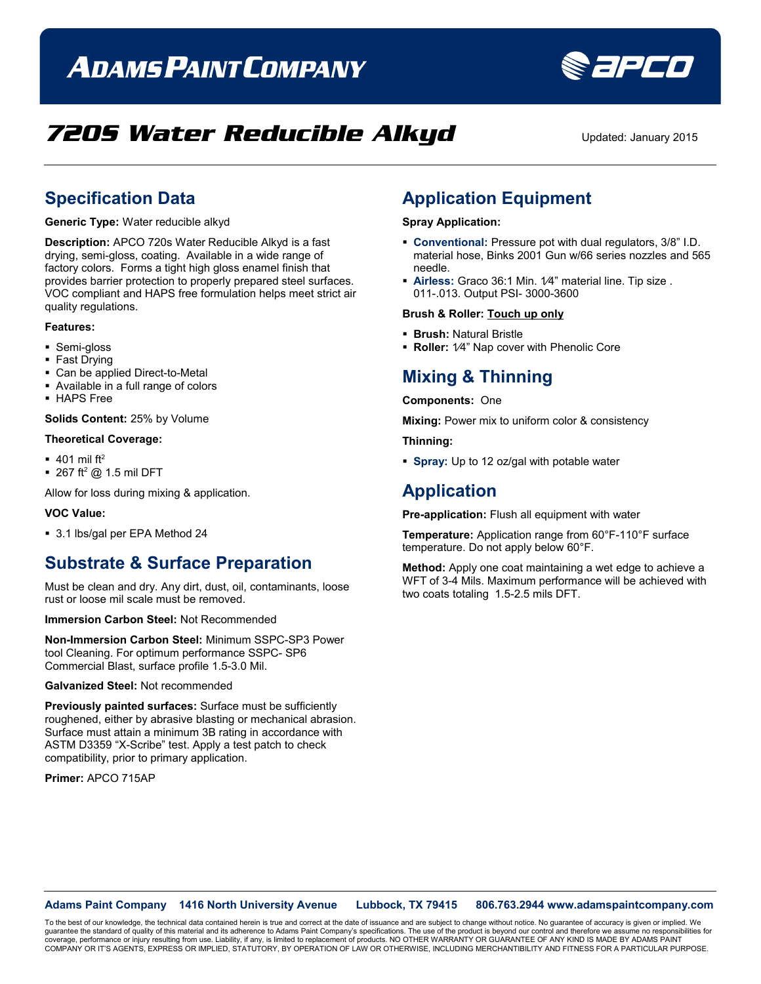# **ADAMS PAINT COMPANY**



## **7205 Water Reducible Alkyd** Updated: January 2015

### **Specification Data**

**Generic Type:** Water reducible alkyd

**Description:** APCO 720s Water Reducible Alkyd is a fast drying, semi-gloss, coating. Available in a wide range of factory colors. Forms a tight high gloss enamel finish that provides barrier protection to properly prepared steel surfaces. VOC compliant and HAPS free formulation helps meet strict air quality regulations.

#### **Features:**

- Semi-gloss
- Fast Drying
- Can be applied Direct-to-Metal
- Available in a full range of colors
- HAPS Free

**Solids Content:** 25% by Volume

#### **Theoretical Coverage:**

- $\bullet$  401 mil ft<sup>2</sup>
- $\blacksquare$  267 ft<sup>2</sup> @ 1.5 mil DFT

Allow for loss during mixing & application.

### **VOC Value:**

3.1 lbs/gal per EPA Method 24

### **Substrate & Surface Preparation**

Must be clean and dry. Any dirt, dust, oil, contaminants, loose rust or loose mil scale must be removed.

**Immersion Carbon Steel:** Not Recommended

**Non-Immersion Carbon Steel:** Minimum SSPC-SP3 Power tool Cleaning. For optimum performance SSPC- SP6 Commercial Blast, surface profile 1.5-3.0 Mil.

**Galvanized Steel:** Not recommended

**Previously painted surfaces:** Surface must be sufficiently roughened, either by abrasive blasting or mechanical abrasion. Surface must attain a minimum 3B rating in accordance with ASTM D3359 "X-Scribe" test. Apply a test patch to check compatibility, prior to primary application.

**Primer:** APCO 715AP

## **Application Equipment**

### **Spray Application:**

- **Conventional:** Pressure pot with dual regulators, 3/8" I.D. material hose, Binks 2001 Gun w/66 series nozzles and 565 needle.
- **Airless:** Graco 36:1 Min. 1⁄4" material line. Tip size . 011-.013. Output PSI- 3000-3600

### **Brush & Roller: Touch up only**

- **Brush:** Natural Bristle
- **Roller:** 1⁄4" Nap cover with Phenolic Core

### **Mixing & Thinning**

#### **Components:** One

**Mixing:** Power mix to uniform color & consistency

**Thinning:**

**Spray:** Up to 12 oz/gal with potable water

### **Application**

**Pre-application:** Flush all equipment with water

**Temperature:** Application range from 60°F-110°F surface temperature. Do not apply below 60°F.

**Method:** Apply one coat maintaining a wet edge to achieve a WFT of 3-4 Mils. Maximum performance will be achieved with two coats totaling 1.5-2.5 mils DFT.

**Adams Paint Company 1416 North University Avenue Lubbock, TX 79415 806.763.2944 www.adamspaintcompany.com**

To the best of our knowledge, the technical data contained herein is true and correct at the date of issuance and are subject to change without notice. No guarantee of accuracy is given or implied. We<br>quarantee the standar guarantee the standard of quality of this material and its adherence to Adams Paint Company's specifications. The use of the product is beyond our control and therefore we ass coverage, performance or injury resulting from use. Liability, if any, is limited to replacement of products. NO OTHER WARRANTY OR GUARANTEE OF ANY KIND IS MADE BY ADAMS PAINT<br>COMPANY OR IT'S AGENTS, EXPRESS OR IMPLIED, ST